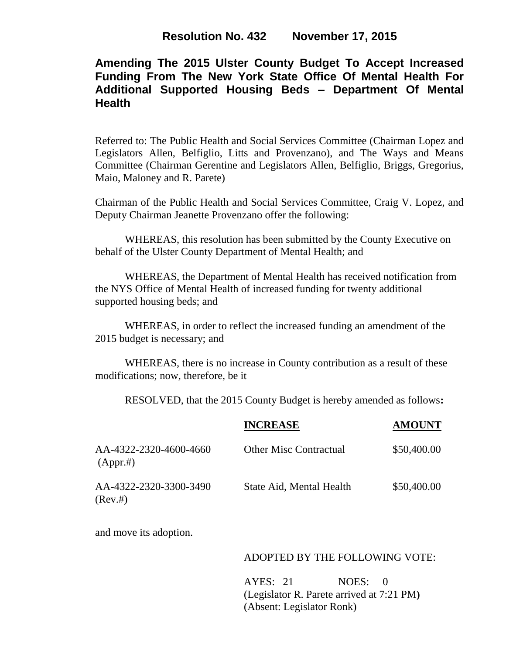# **Amending The 2015 Ulster County Budget To Accept Increased Funding From The New York State Office Of Mental Health For Additional Supported Housing Beds – Department Of Mental Health**

Referred to: The Public Health and Social Services Committee (Chairman Lopez and Legislators Allen, Belfiglio, Litts and Provenzano), and The Ways and Means Committee (Chairman Gerentine and Legislators Allen, Belfiglio, Briggs, Gregorius, Maio, Maloney and R. Parete)

Chairman of the Public Health and Social Services Committee, Craig V. Lopez, and Deputy Chairman Jeanette Provenzano offer the following:

WHEREAS, this resolution has been submitted by the County Executive on behalf of the Ulster County Department of Mental Health; and

WHEREAS, the Department of Mental Health has received notification from the NYS Office of Mental Health of increased funding for twenty additional supported housing beds; and

WHEREAS, in order to reflect the increased funding an amendment of the 2015 budget is necessary; and

WHEREAS, there is no increase in County contribution as a result of these modifications; now, therefore, be it

RESOLVED, that the 2015 County Budget is hereby amended as follows**:**

|                                    | <b>INCREASE</b>               | <b>AMOUNT</b> |
|------------------------------------|-------------------------------|---------------|
| AA-4322-2320-4600-4660<br>(Appr.#) | <b>Other Misc Contractual</b> | \$50,400.00   |
| AA-4322-2320-3300-3490<br>(Rev.#)  | State Aid, Mental Health      | \$50,400.00   |

and move its adoption.

### ADOPTED BY THE FOLLOWING VOTE:

AYES: 21 NOES: 0 (Legislator R. Parete arrived at 7:21 PM**)** (Absent: Legislator Ronk)